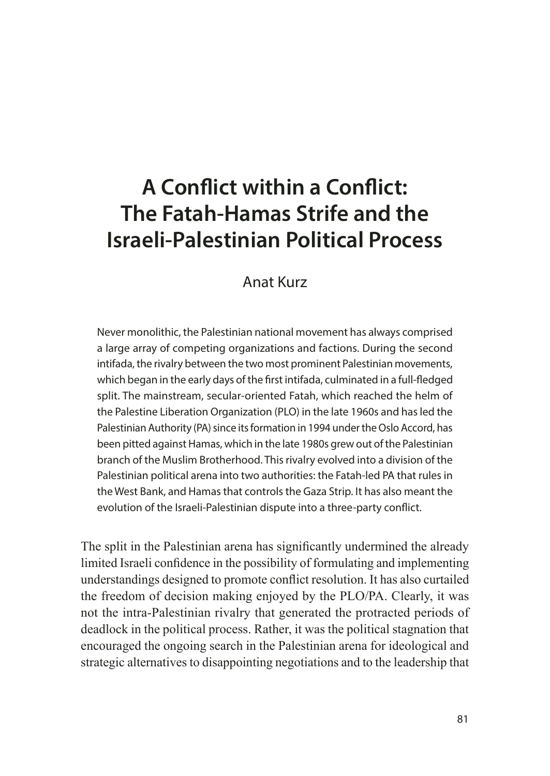# **A Conflict within a Conflict: The Fatah-Hamas Strife and the Israeli-Palestinian Political Process**

#### Anat Kurz

Never monolithic, the Palestinian national movement has always comprised a large array of competing organizations and factions. During the second intifada, the rivalry between the two most prominent Palestinian movements, which began in the early days of the first intifada, culminated in a full-fledged split. The mainstream, secular-oriented Fatah, which reached the helm of the Palestine Liberation Organization (PLO) in the late 1960s and has led the Palestinian Authority (PA) since its formation in 1994 under the Oslo Accord, has been pitted against Hamas, which in the late 1980s grew out of the Palestinian branch of the Muslim Brotherhood. This rivalry evolved into a division of the Palestinian political arena into two authorities: the Fatah-led PA that rules in the West Bank, and Hamas that controls the Gaza Strip. It has also meant the evolution of the Israeli-Palestinian dispute into a three-party conflict.

The split in the Palestinian arena has significantly undermined the already limited Israeli confidence in the possibility of formulating and implementing understandings designed to promote conflict resolution. It has also curtailed the freedom of decision making enjoyed by the PLO/PA. Clearly, it was not the intra-Palestinian rivalry that generated the protracted periods of deadlock in the political process. Rather, it was the political stagnation that encouraged the ongoing search in the Palestinian arena for ideological and strategic alternatives to disappointing negotiations and to the leadership that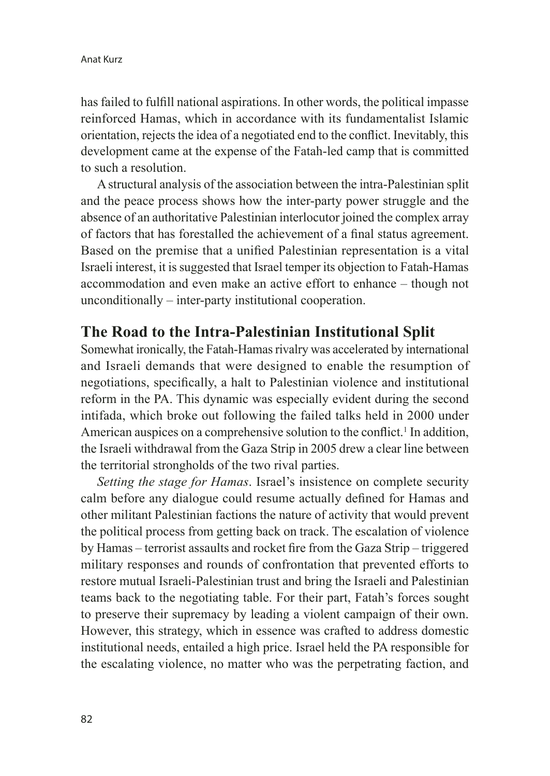has failed to fulfill national aspirations. In other words, the political impasse reinforced Hamas, which in accordance with its fundamentalist Islamic orientation, rejects the idea of a negotiated end to the conflict. Inevitably, this development came at the expense of the Fatah-led camp that is committed to such a resolution.

A structural analysis of the association between the intra-Palestinian split and the peace process shows how the inter-party power struggle and the absence of an authoritative Palestinian interlocutor joined the complex array of factors that has forestalled the achievement of a final status agreement. Based on the premise that a unified Palestinian representation is a vital Israeli interest, it is suggested that Israel temper its objection to Fatah-Hamas accommodation and even make an active effort to enhance – though not unconditionally – inter-party institutional cooperation.

## **The Road to the Intra-Palestinian Institutional Split**

Somewhat ironically, the Fatah-Hamas rivalry was accelerated by international and Israeli demands that were designed to enable the resumption of negotiations, specifically, a halt to Palestinian violence and institutional reform in the PA. This dynamic was especially evident during the second intifada, which broke out following the failed talks held in 2000 under American auspices on a comprehensive solution to the conflict.<sup>1</sup> In addition, the Israeli withdrawal from the Gaza Strip in 2005 drew a clear line between the territorial strongholds of the two rival parties.

*Setting the stage for Hamas*. Israel's insistence on complete security calm before any dialogue could resume actually defined for Hamas and other militant Palestinian factions the nature of activity that would prevent the political process from getting back on track. The escalation of violence by Hamas – terrorist assaults and rocket fire from the Gaza Strip – triggered military responses and rounds of confrontation that prevented efforts to restore mutual Israeli-Palestinian trust and bring the Israeli and Palestinian teams back to the negotiating table. For their part, Fatah's forces sought to preserve their supremacy by leading a violent campaign of their own. However, this strategy, which in essence was crafted to address domestic institutional needs, entailed a high price. Israel held the PA responsible for the escalating violence, no matter who was the perpetrating faction, and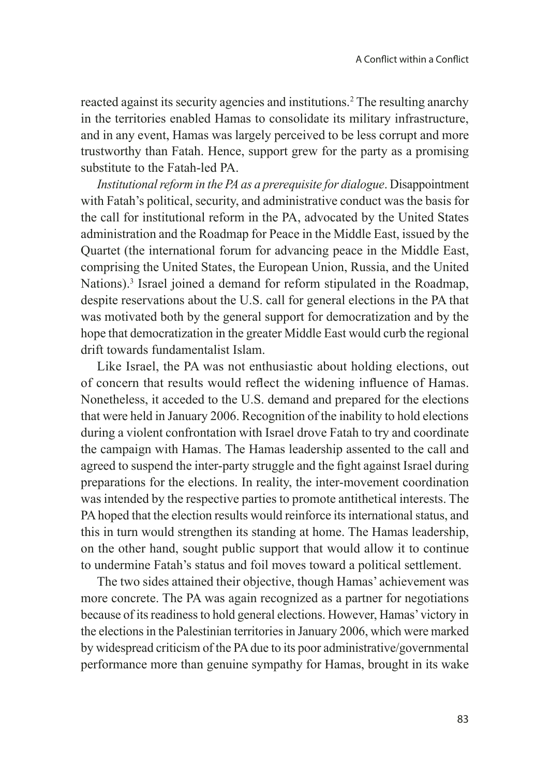reacted against its security agencies and institutions.2 The resulting anarchy in the territories enabled Hamas to consolidate its military infrastructure, and in any event, Hamas was largely perceived to be less corrupt and more trustworthy than Fatah. Hence, support grew for the party as a promising substitute to the Fatah-led PA.

*Institutional reform in the PA as a prerequisite for dialogue*. Disappointment with Fatah's political, security, and administrative conduct was the basis for the call for institutional reform in the PA, advocated by the United States administration and the Roadmap for Peace in the Middle East, issued by the Quartet (the international forum for advancing peace in the Middle East, comprising the United States, the European Union, Russia, and the United Nations).<sup>3</sup> Israel joined a demand for reform stipulated in the Roadmap, despite reservations about the U.S. call for general elections in the PA that was motivated both by the general support for democratization and by the hope that democratization in the greater Middle East would curb the regional drift towards fundamentalist Islam.

Like Israel, the PA was not enthusiastic about holding elections, out of concern that results would reflect the widening influence of Hamas. Nonetheless, it acceded to the U.S. demand and prepared for the elections that were held in January 2006. Recognition of the inability to hold elections during a violent confrontation with Israel drove Fatah to try and coordinate the campaign with Hamas. The Hamas leadership assented to the call and agreed to suspend the inter-party struggle and the fight against Israel during preparations for the elections. In reality, the inter-movement coordination was intended by the respective parties to promote antithetical interests. The PA hoped that the election results would reinforce its international status, and this in turn would strengthen its standing at home. The Hamas leadership, on the other hand, sought public support that would allow it to continue to undermine Fatah's status and foil moves toward a political settlement.

The two sides attained their objective, though Hamas' achievement was more concrete. The PA was again recognized as a partner for negotiations because of its readiness to hold general elections. However, Hamas' victory in the elections in the Palestinian territories in January 2006, which were marked by widespread criticism of the PA due to its poor administrative/governmental performance more than genuine sympathy for Hamas, brought in its wake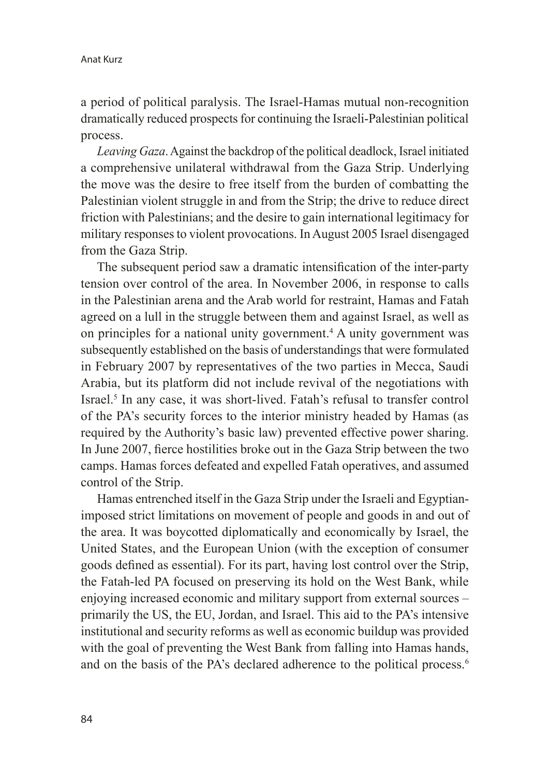a period of political paralysis. The Israel-Hamas mutual non-recognition dramatically reduced prospects for continuing the Israeli-Palestinian political process.

*Leaving Gaza*. Against the backdrop of the political deadlock, Israel initiated a comprehensive unilateral withdrawal from the Gaza Strip. Underlying the move was the desire to free itself from the burden of combatting the Palestinian violent struggle in and from the Strip; the drive to reduce direct friction with Palestinians; and the desire to gain international legitimacy for military responses to violent provocations. In August 2005 Israel disengaged from the Gaza Strip.

The subsequent period saw a dramatic intensification of the inter-party tension over control of the area. In November 2006, in response to calls in the Palestinian arena and the Arab world for restraint, Hamas and Fatah agreed on a lull in the struggle between them and against Israel, as well as on principles for a national unity government.<sup>4</sup> A unity government was subsequently established on the basis of understandings that were formulated in February 2007 by representatives of the two parties in Mecca, Saudi Arabia, but its platform did not include revival of the negotiations with Israel.5 In any case, it was short-lived. Fatah's refusal to transfer control of the PA's security forces to the interior ministry headed by Hamas (as required by the Authority's basic law) prevented effective power sharing. In June 2007, fierce hostilities broke out in the Gaza Strip between the two camps. Hamas forces defeated and expelled Fatah operatives, and assumed control of the Strip.

Hamas entrenched itself in the Gaza Strip under the Israeli and Egyptianimposed strict limitations on movement of people and goods in and out of the area. It was boycotted diplomatically and economically by Israel, the United States, and the European Union (with the exception of consumer goods defined as essential). For its part, having lost control over the Strip, the Fatah-led PA focused on preserving its hold on the West Bank, while enjoying increased economic and military support from external sources – primarily the US, the EU, Jordan, and Israel. This aid to the PA's intensive institutional and security reforms as well as economic buildup was provided with the goal of preventing the West Bank from falling into Hamas hands, and on the basis of the PA's declared adherence to the political process.<sup>6</sup>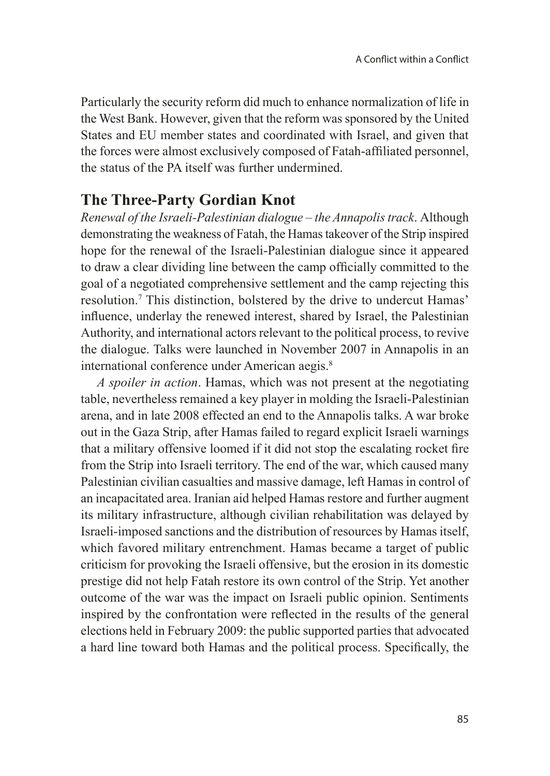Particularly the security reform did much to enhance normalization of life in the West Bank. However, given that the reform was sponsored by the United States and EU member states and coordinated with Israel, and given that the forces were almost exclusively composed of Fatah-affiliated personnel, the status of the PA itself was further undermined.

### **The Three-Party Gordian Knot**

*Renewal of the Israeli-Palestinian dialogue – the Annapolis track*. Although demonstrating the weakness of Fatah, the Hamas takeover of the Strip inspired hope for the renewal of the Israeli-Palestinian dialogue since it appeared to draw a clear dividing line between the camp officially committed to the goal of a negotiated comprehensive settlement and the camp rejecting this resolution.7 This distinction, bolstered by the drive to undercut Hamas' influence, underlay the renewed interest, shared by Israel, the Palestinian Authority, and international actors relevant to the political process, to revive the dialogue. Talks were launched in November 2007 in Annapolis in an international conference under American aegis.<sup>8</sup>

*A spoiler in action*. Hamas, which was not present at the negotiating table, nevertheless remained a key player in molding the Israeli-Palestinian arena, and in late 2008 effected an end to the Annapolis talks. A war broke out in the Gaza Strip, after Hamas failed to regard explicit Israeli warnings that a military offensive loomed if it did not stop the escalating rocket fire from the Strip into Israeli territory. The end of the war, which caused many Palestinian civilian casualties and massive damage, left Hamas in control of an incapacitated area. Iranian aid helped Hamas restore and further augment its military infrastructure, although civilian rehabilitation was delayed by Israeli-imposed sanctions and the distribution of resources by Hamas itself, which favored military entrenchment. Hamas became a target of public criticism for provoking the Israeli offensive, but the erosion in its domestic prestige did not help Fatah restore its own control of the Strip. Yet another outcome of the war was the impact on Israeli public opinion. Sentiments inspired by the confrontation were reflected in the results of the general elections held in February 2009: the public supported parties that advocated a hard line toward both Hamas and the political process. Specifically, the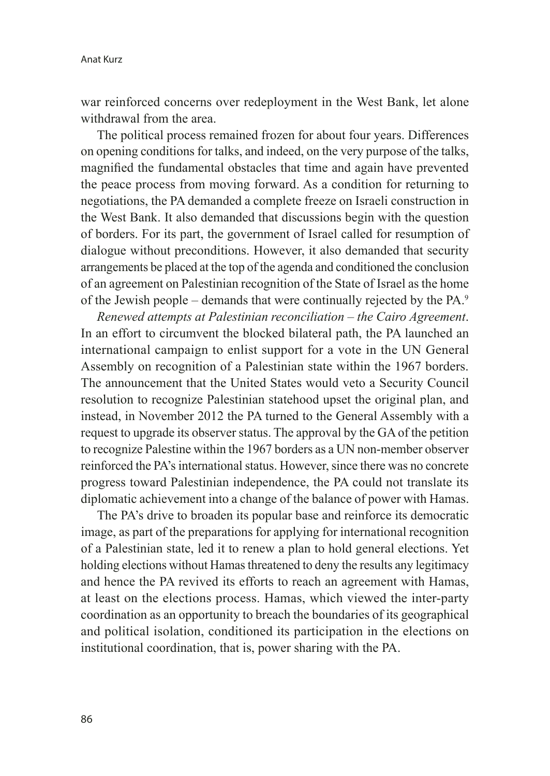war reinforced concerns over redeployment in the West Bank, let alone withdrawal from the area.

The political process remained frozen for about four years. Differences on opening conditions for talks, and indeed, on the very purpose of the talks, magnified the fundamental obstacles that time and again have prevented the peace process from moving forward. As a condition for returning to negotiations, the PA demanded a complete freeze on Israeli construction in the West Bank. It also demanded that discussions begin with the question of borders. For its part, the government of Israel called for resumption of dialogue without preconditions. However, it also demanded that security arrangements be placed at the top of the agenda and conditioned the conclusion of an agreement on Palestinian recognition of the State of Israel as the home of the Jewish people – demands that were continually rejected by the PA.9

*Renewed attempts at Palestinian reconciliation – the Cairo Agreement*. In an effort to circumvent the blocked bilateral path, the PA launched an international campaign to enlist support for a vote in the UN General Assembly on recognition of a Palestinian state within the 1967 borders. The announcement that the United States would veto a Security Council resolution to recognize Palestinian statehood upset the original plan, and instead, in November 2012 the PA turned to the General Assembly with a request to upgrade its observer status. The approval by the GA of the petition to recognize Palestine within the 1967 borders as a UN non-member observer reinforced the PA's international status. However, since there was no concrete progress toward Palestinian independence, the PA could not translate its diplomatic achievement into a change of the balance of power with Hamas.

The PA's drive to broaden its popular base and reinforce its democratic image, as part of the preparations for applying for international recognition of a Palestinian state, led it to renew a plan to hold general elections. Yet holding elections without Hamas threatened to deny the results any legitimacy and hence the PA revived its efforts to reach an agreement with Hamas, at least on the elections process. Hamas, which viewed the inter-party coordination as an opportunity to breach the boundaries of its geographical and political isolation, conditioned its participation in the elections on institutional coordination, that is, power sharing with the PA.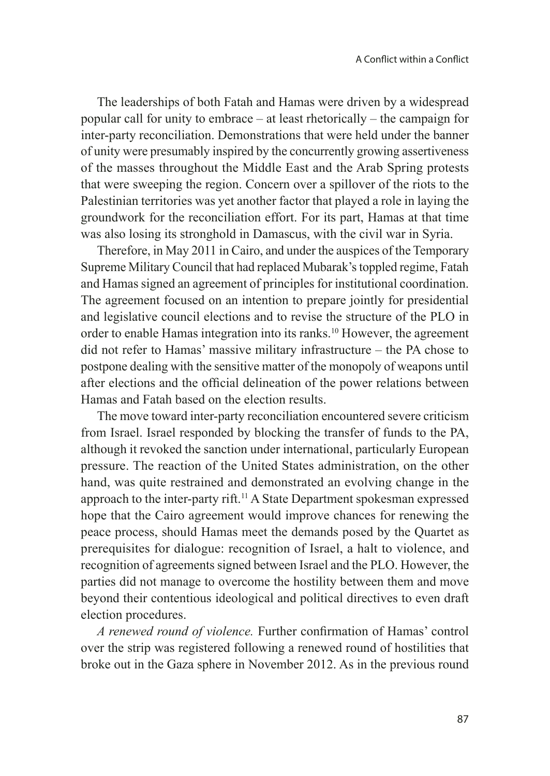The leaderships of both Fatah and Hamas were driven by a widespread popular call for unity to embrace – at least rhetorically – the campaign for inter-party reconciliation. Demonstrations that were held under the banner of unity were presumably inspired by the concurrently growing assertiveness of the masses throughout the Middle East and the Arab Spring protests that were sweeping the region. Concern over a spillover of the riots to the Palestinian territories was yet another factor that played a role in laying the groundwork for the reconciliation effort. For its part, Hamas at that time was also losing its stronghold in Damascus, with the civil war in Syria.

Therefore, in May 2011 in Cairo, and under the auspices of the Temporary Supreme Military Council that had replaced Mubarak's toppled regime, Fatah and Hamas signed an agreement of principles for institutional coordination. The agreement focused on an intention to prepare jointly for presidential and legislative council elections and to revise the structure of the PLO in order to enable Hamas integration into its ranks.10 However, the agreement did not refer to Hamas' massive military infrastructure – the PA chose to postpone dealing with the sensitive matter of the monopoly of weapons until after elections and the official delineation of the power relations between Hamas and Fatah based on the election results.

The move toward inter-party reconciliation encountered severe criticism from Israel. Israel responded by blocking the transfer of funds to the PA, although it revoked the sanction under international, particularly European pressure. The reaction of the United States administration, on the other hand, was quite restrained and demonstrated an evolving change in the approach to the inter-party rift.<sup>11</sup> A State Department spokesman expressed hope that the Cairo agreement would improve chances for renewing the peace process, should Hamas meet the demands posed by the Quartet as prerequisites for dialogue: recognition of Israel, a halt to violence, and recognition of agreements signed between Israel and the PLO. However, the parties did not manage to overcome the hostility between them and move beyond their contentious ideological and political directives to even draft election procedures.

*A renewed round of violence.* Further confirmation of Hamas' control over the strip was registered following a renewed round of hostilities that broke out in the Gaza sphere in November 2012. As in the previous round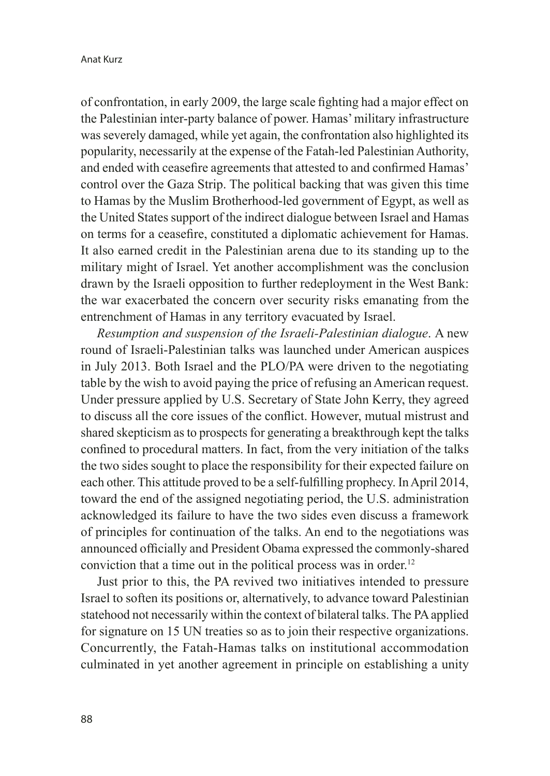of confrontation, in early 2009, the large scale fighting had a major effect on the Palestinian inter-party balance of power. Hamas' military infrastructure was severely damaged, while yet again, the confrontation also highlighted its popularity, necessarily at the expense of the Fatah-led Palestinian Authority, and ended with ceasefire agreements that attested to and confirmed Hamas' control over the Gaza Strip. The political backing that was given this time to Hamas by the Muslim Brotherhood-led government of Egypt, as well as the United States support of the indirect dialogue between Israel and Hamas on terms for a ceasefire, constituted a diplomatic achievement for Hamas. It also earned credit in the Palestinian arena due to its standing up to the military might of Israel. Yet another accomplishment was the conclusion drawn by the Israeli opposition to further redeployment in the West Bank: the war exacerbated the concern over security risks emanating from the entrenchment of Hamas in any territory evacuated by Israel.

*Resumption and suspension of the Israeli-Palestinian dialogue*. A new round of Israeli-Palestinian talks was launched under American auspices in July 2013. Both Israel and the PLO/PA were driven to the negotiating table by the wish to avoid paying the price of refusing an American request. Under pressure applied by U.S. Secretary of State John Kerry, they agreed to discuss all the core issues of the conflict. However, mutual mistrust and shared skepticism as to prospects for generating a breakthrough kept the talks confined to procedural matters. In fact, from the very initiation of the talks the two sides sought to place the responsibility for their expected failure on each other. This attitude proved to be a self-fulfilling prophecy. In April 2014, toward the end of the assigned negotiating period, the U.S. administration acknowledged its failure to have the two sides even discuss a framework of principles for continuation of the talks. An end to the negotiations was announced officially and President Obama expressed the commonly-shared conviction that a time out in the political process was in order.<sup>12</sup>

Just prior to this, the PA revived two initiatives intended to pressure Israel to soften its positions or, alternatively, to advance toward Palestinian statehood not necessarily within the context of bilateral talks. The PA applied for signature on 15 UN treaties so as to join their respective organizations. Concurrently, the Fatah-Hamas talks on institutional accommodation culminated in yet another agreement in principle on establishing a unity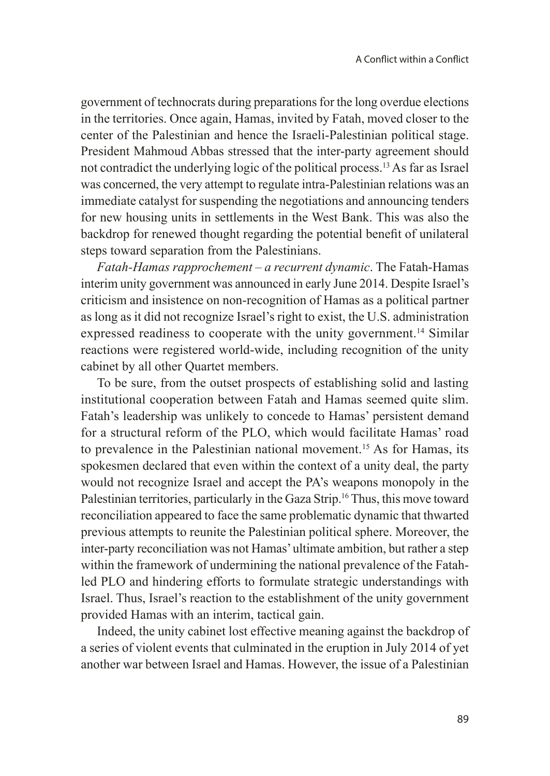government of technocrats during preparations for the long overdue elections in the territories. Once again, Hamas, invited by Fatah, moved closer to the center of the Palestinian and hence the Israeli-Palestinian political stage. President Mahmoud Abbas stressed that the inter-party agreement should not contradict the underlying logic of the political process.13 As far as Israel was concerned, the very attempt to regulate intra-Palestinian relations was an immediate catalyst for suspending the negotiations and announcing tenders for new housing units in settlements in the West Bank. This was also the backdrop for renewed thought regarding the potential benefit of unilateral steps toward separation from the Palestinians.

*Fatah-Hamas rapprochement – a recurrent dynamic*. The Fatah-Hamas interim unity government was announced in early June 2014. Despite Israel's criticism and insistence on non-recognition of Hamas as a political partner as long as it did not recognize Israel's right to exist, the U.S. administration expressed readiness to cooperate with the unity government.<sup>14</sup> Similar reactions were registered world-wide, including recognition of the unity cabinet by all other Quartet members.

To be sure, from the outset prospects of establishing solid and lasting institutional cooperation between Fatah and Hamas seemed quite slim. Fatah's leadership was unlikely to concede to Hamas' persistent demand for a structural reform of the PLO, which would facilitate Hamas' road to prevalence in the Palestinian national movement.15 As for Hamas, its spokesmen declared that even within the context of a unity deal, the party would not recognize Israel and accept the PA's weapons monopoly in the Palestinian territories, particularly in the Gaza Strip.<sup>16</sup> Thus, this move toward reconciliation appeared to face the same problematic dynamic that thwarted previous attempts to reunite the Palestinian political sphere. Moreover, the inter-party reconciliation was not Hamas' ultimate ambition, but rather a step within the framework of undermining the national prevalence of the Fatahled PLO and hindering efforts to formulate strategic understandings with Israel. Thus, Israel's reaction to the establishment of the unity government provided Hamas with an interim, tactical gain.

Indeed, the unity cabinet lost effective meaning against the backdrop of a series of violent events that culminated in the eruption in July 2014 of yet another war between Israel and Hamas. However, the issue of a Palestinian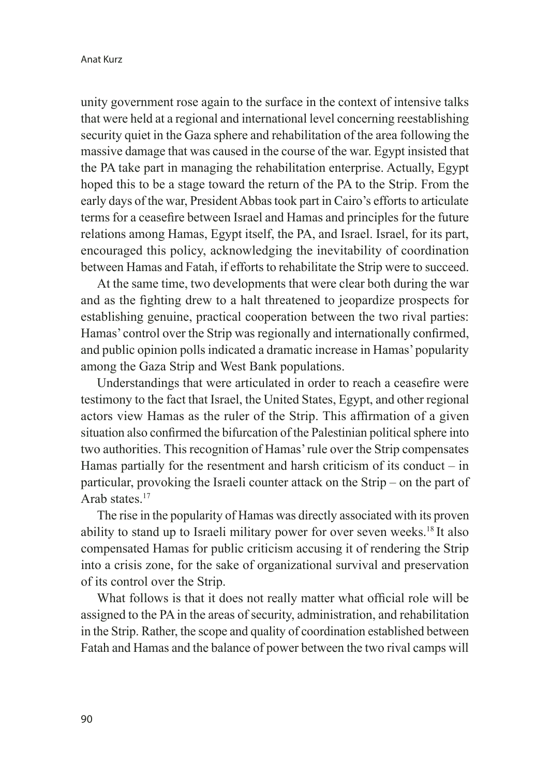unity government rose again to the surface in the context of intensive talks that were held at a regional and international level concerning reestablishing security quiet in the Gaza sphere and rehabilitation of the area following the massive damage that was caused in the course of the war. Egypt insisted that the PA take part in managing the rehabilitation enterprise. Actually, Egypt hoped this to be a stage toward the return of the PA to the Strip. From the early days of the war, President Abbas took part in Cairo's efforts to articulate terms for a ceasefire between Israel and Hamas and principles for the future relations among Hamas, Egypt itself, the PA, and Israel. Israel, for its part, encouraged this policy, acknowledging the inevitability of coordination between Hamas and Fatah, if efforts to rehabilitate the Strip were to succeed.

At the same time, two developments that were clear both during the war and as the fighting drew to a halt threatened to jeopardize prospects for establishing genuine, practical cooperation between the two rival parties: Hamas' control over the Strip was regionally and internationally confirmed, and public opinion polls indicated a dramatic increase in Hamas' popularity among the Gaza Strip and West Bank populations.

Understandings that were articulated in order to reach a ceasefire were testimony to the fact that Israel, the United States, Egypt, and other regional actors view Hamas as the ruler of the Strip. This affirmation of a given situation also confirmed the bifurcation of the Palestinian political sphere into two authorities. This recognition of Hamas' rule over the Strip compensates Hamas partially for the resentment and harsh criticism of its conduct  $-$  in particular, provoking the Israeli counter attack on the Strip – on the part of Arab states $17$ 

The rise in the popularity of Hamas was directly associated with its proven ability to stand up to Israeli military power for over seven weeks.18 It also compensated Hamas for public criticism accusing it of rendering the Strip into a crisis zone, for the sake of organizational survival and preservation of its control over the Strip.

What follows is that it does not really matter what official role will be assigned to the PA in the areas of security, administration, and rehabilitation in the Strip. Rather, the scope and quality of coordination established between Fatah and Hamas and the balance of power between the two rival camps will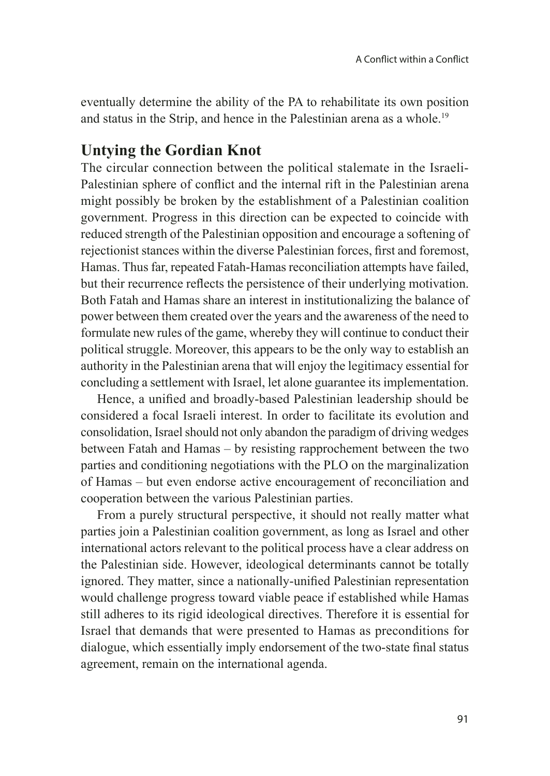eventually determine the ability of the PA to rehabilitate its own position and status in the Strip, and hence in the Palestinian arena as a whole.19

## **Untying the Gordian Knot**

The circular connection between the political stalemate in the Israeli-Palestinian sphere of conflict and the internal rift in the Palestinian arena might possibly be broken by the establishment of a Palestinian coalition government. Progress in this direction can be expected to coincide with reduced strength of the Palestinian opposition and encourage a softening of rejectionist stances within the diverse Palestinian forces, first and foremost, Hamas. Thus far, repeated Fatah-Hamas reconciliation attempts have failed, but their recurrence reflects the persistence of their underlying motivation. Both Fatah and Hamas share an interest in institutionalizing the balance of power between them created over the years and the awareness of the need to formulate new rules of the game, whereby they will continue to conduct their political struggle. Moreover, this appears to be the only way to establish an authority in the Palestinian arena that will enjoy the legitimacy essential for concluding a settlement with Israel, let alone guarantee its implementation.

Hence, a unified and broadly-based Palestinian leadership should be considered a focal Israeli interest. In order to facilitate its evolution and consolidation, Israel should not only abandon the paradigm of driving wedges between Fatah and Hamas – by resisting rapprochement between the two parties and conditioning negotiations with the PLO on the marginalization of Hamas – but even endorse active encouragement of reconciliation and cooperation between the various Palestinian parties.

From a purely structural perspective, it should not really matter what parties join a Palestinian coalition government, as long as Israel and other international actors relevant to the political process have a clear address on the Palestinian side. However, ideological determinants cannot be totally ignored. They matter, since a nationally-unified Palestinian representation would challenge progress toward viable peace if established while Hamas still adheres to its rigid ideological directives. Therefore it is essential for Israel that demands that were presented to Hamas as preconditions for dialogue, which essentially imply endorsement of the two-state final status agreement, remain on the international agenda.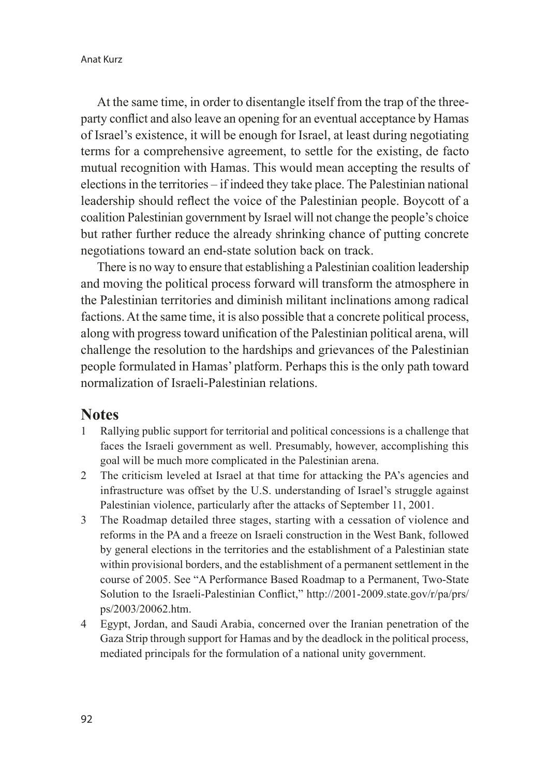At the same time, in order to disentangle itself from the trap of the threeparty conflict and also leave an opening for an eventual acceptance by Hamas of Israel's existence, it will be enough for Israel, at least during negotiating terms for a comprehensive agreement, to settle for the existing, de facto mutual recognition with Hamas. This would mean accepting the results of elections in the territories – if indeed they take place. The Palestinian national leadership should reflect the voice of the Palestinian people. Boycott of a coalition Palestinian government by Israel will not change the people's choice but rather further reduce the already shrinking chance of putting concrete negotiations toward an end-state solution back on track.

There is no way to ensure that establishing a Palestinian coalition leadership and moving the political process forward will transform the atmosphere in the Palestinian territories and diminish militant inclinations among radical factions. At the same time, it is also possible that a concrete political process, along with progress toward unification of the Palestinian political arena, will challenge the resolution to the hardships and grievances of the Palestinian people formulated in Hamas' platform. Perhaps this is the only path toward normalization of Israeli-Palestinian relations.

#### **Notes**

- 1 Rallying public support for territorial and political concessions is a challenge that faces the Israeli government as well. Presumably, however, accomplishing this goal will be much more complicated in the Palestinian arena.
- 2 The criticism leveled at Israel at that time for attacking the PA's agencies and infrastructure was offset by the U.S. understanding of Israel's struggle against Palestinian violence, particularly after the attacks of September 11, 2001.
- 3 The Roadmap detailed three stages, starting with a cessation of violence and reforms in the PA and a freeze on Israeli construction in the West Bank, followed by general elections in the territories and the establishment of a Palestinian state within provisional borders, and the establishment of a permanent settlement in the course of 2005. See "A Performance Based Roadmap to a Permanent, Two-State Solution to the Israeli-Palestinian Conflict," http://2001-2009.state.gov/r/pa/prs/ ps/2003/20062.htm.
- 4 Egypt, Jordan, and Saudi Arabia, concerned over the Iranian penetration of the Gaza Strip through support for Hamas and by the deadlock in the political process, mediated principals for the formulation of a national unity government.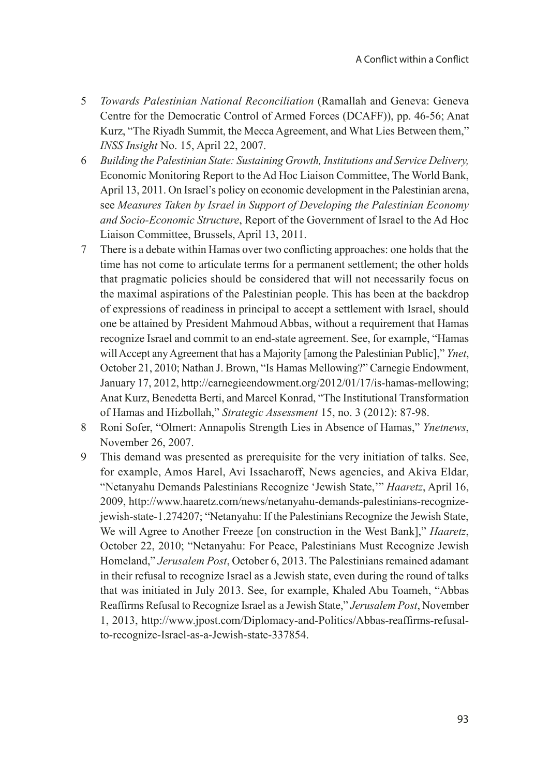- 5 *Towards Palestinian National Reconciliation* (Ramallah and Geneva: Geneva Centre for the Democratic Control of Armed Forces (DCAFF)), pp. 46-56; Anat Kurz, "The Riyadh Summit, the Mecca Agreement, and What Lies Between them," *INSS Insight* No. 15, April 22, 2007.
- 6 *Building the Palestinian State: Sustaining Growth, Institutions and Service Delivery,*  Economic Monitoring Report to the Ad Hoc Liaison Committee, The World Bank, April 13, 2011. On Israel's policy on economic development in the Palestinian arena, see *Measures Taken by Israel in Support of Developing the Palestinian Economy and Socio-Economic Structure*, Report of the Government of Israel to the Ad Hoc Liaison Committee, Brussels, April 13, 2011.
- 7 There is a debate within Hamas over two conflicting approaches: one holds that the time has not come to articulate terms for a permanent settlement; the other holds that pragmatic policies should be considered that will not necessarily focus on the maximal aspirations of the Palestinian people. This has been at the backdrop of expressions of readiness in principal to accept a settlement with Israel, should one be attained by President Mahmoud Abbas, without a requirement that Hamas recognize Israel and commit to an end-state agreement. See, for example, "Hamas will Accept any Agreement that has a Majority [among the Palestinian Public]," *Ynet*, October 21, 2010; Nathan J. Brown, "Is Hamas Mellowing?" Carnegie Endowment, January 17, 2012, http://carnegieendowment.org/2012/01/17/is-hamas-mellowing; Anat Kurz, Benedetta Berti, and Marcel Konrad, "The Institutional Transformation of Hamas and Hizbollah," *Strategic Assessment* 15, no. 3 (2012): 87-98.
- 8 Roni Sofer, "Olmert: Annapolis Strength Lies in Absence of Hamas," *Ynetnews*, November 26, 2007.
- 9 This demand was presented as prerequisite for the very initiation of talks. See, for example, Amos Harel, Avi Issacharoff, News agencies, and Akiva Eldar, "Netanyahu Demands Palestinians Recognize 'Jewish State,'" *Haaretz*, April 16, 2009, http://www.haaretz.com/news/netanyahu-demands-palestinians-recognizejewish-state-1.274207; "Netanyahu: If the Palestinians Recognize the Jewish State, We will Agree to Another Freeze [on construction in the West Bank]," *Haaretz*, October 22, 2010; "Netanyahu: For Peace, Palestinians Must Recognize Jewish Homeland," *Jerusalem Post*, October 6, 2013. The Palestinians remained adamant in their refusal to recognize Israel as a Jewish state, even during the round of talks that was initiated in July 2013. See, for example, Khaled Abu Toameh, "Abbas Reaffirms Refusal to Recognize Israel as a Jewish State," *Jerusalem Post*, November 1, 2013, http://www.jpost.com/Diplomacy-and-Politics/Abbas-reaffirms-refusalto-recognize-Israel-as-a-Jewish-state-337854.